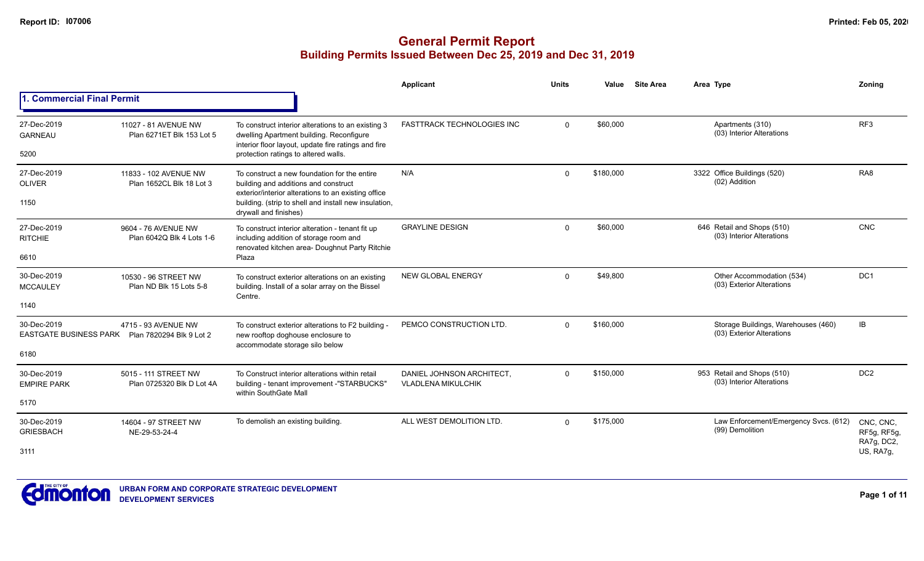|                                                                |                                                   |                                                                                                                                                       | Applicant                                              | <b>Units</b> | Value     | <b>Site Area</b> | Area Type                                                        | Zonina                   |
|----------------------------------------------------------------|---------------------------------------------------|-------------------------------------------------------------------------------------------------------------------------------------------------------|--------------------------------------------------------|--------------|-----------|------------------|------------------------------------------------------------------|--------------------------|
| <b>1. Commercial Final Permit</b>                              |                                                   |                                                                                                                                                       |                                                        |              |           |                  |                                                                  |                          |
| 27-Dec-2019<br><b>GARNEAU</b>                                  | 11027 - 81 AVENUE NW<br>Plan 6271ET Blk 153 Lot 5 | To construct interior alterations to an existing 3<br>dwelling Apartment building. Reconfigure<br>interior floor layout, update fire ratings and fire | <b>FASTTRACK TECHNOLOGIES INC</b>                      | $\Omega$     | \$60,000  |                  | Apartments (310)<br>(03) Interior Alterations                    | RF <sub>3</sub>          |
| 5200                                                           |                                                   | protection ratings to altered walls.                                                                                                                  |                                                        |              |           |                  |                                                                  |                          |
| 27-Dec-2019<br><b>OLIVER</b>                                   | 11833 - 102 AVENUE NW<br>Plan 1652CL Blk 18 Lot 3 | To construct a new foundation for the entire<br>building and additions and construct<br>exterior/interior alterations to an existing office           | N/A                                                    | $\Omega$     | \$180,000 |                  | 3322 Office Buildings (520)<br>(02) Addition                     | RA <sub>8</sub>          |
| 1150                                                           |                                                   | building. (strip to shell and install new insulation,<br>drywall and finishes)                                                                        |                                                        |              |           |                  |                                                                  |                          |
| 27-Dec-2019<br><b>RITCHIE</b>                                  | 9604 - 76 AVENUE NW<br>Plan 6042Q Blk 4 Lots 1-6  | To construct interior alteration - tenant fit up<br>including addition of storage room and<br>renovated kitchen area- Doughnut Party Ritchie          | <b>GRAYLINE DESIGN</b>                                 | $\Omega$     | \$60,000  |                  | 646 Retail and Shops (510)<br>(03) Interior Alterations          | CNC                      |
| 6610                                                           |                                                   | Plaza                                                                                                                                                 |                                                        |              |           |                  |                                                                  |                          |
| 30-Dec-2019<br><b>MCCAULEY</b>                                 | 10530 - 96 STREET NW<br>Plan ND Blk 15 Lots 5-8   | To construct exterior alterations on an existing<br>building. Install of a solar array on the Bissel<br>Centre.                                       | NEW GLOBAL ENERGY                                      | $\Omega$     | \$49,800  |                  | Other Accommodation (534)<br>(03) Exterior Alterations           | DC <sub>1</sub>          |
| 1140                                                           |                                                   |                                                                                                                                                       |                                                        |              |           |                  |                                                                  |                          |
| 30-Dec-2019<br>EASTGATE BUSINESS PARK Plan 7820294 Blk 9 Lot 2 | 4715 - 93 AVENUE NW                               | To construct exterior alterations to F2 building<br>new rooftop doghouse enclosure to<br>accommodate storage silo below                               | PEMCO CONSTRUCTION LTD.                                | $\Omega$     | \$160,000 |                  | Storage Buildings, Warehouses (460)<br>(03) Exterior Alterations | IB                       |
| 6180                                                           |                                                   |                                                                                                                                                       |                                                        |              |           |                  |                                                                  |                          |
| 30-Dec-2019<br><b>EMPIRE PARK</b>                              | 5015 - 111 STREET NW<br>Plan 0725320 Blk D Lot 4A | To Construct interior alterations within retail<br>building - tenant improvement -"STARBUCKS'<br>within SouthGate Mall                                | DANIEL JOHNSON ARCHITECT,<br><b>VLADLENA MIKULCHIK</b> | $\Omega$     | \$150,000 |                  | 953 Retail and Shops (510)<br>(03) Interior Alterations          | DC <sub>2</sub>          |
| 5170                                                           |                                                   |                                                                                                                                                       |                                                        |              |           |                  |                                                                  |                          |
| 30-Dec-2019<br><b>GRIESBACH</b>                                | 14604 - 97 STREET NW<br>NE-29-53-24-4             | To demolish an existing building.                                                                                                                     | ALL WEST DEMOLITION LTD.                               | $\Omega$     | \$175,000 |                  | Law Enforcement/Emergency Svcs. (612)<br>(99) Demolition         | CNC, CNC,<br>RF5g, RF5g, |
| 3111                                                           |                                                   |                                                                                                                                                       |                                                        |              |           |                  |                                                                  | RA7g, DC2,<br>US, RA7g,  |

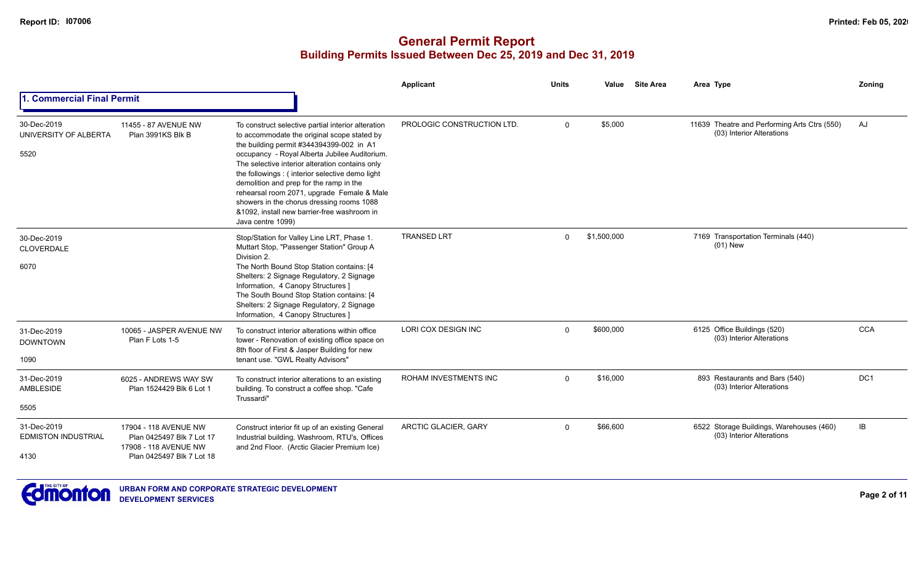|                                                   |                                                                                                          |                                                                                                                                                                                                                                                                                                                                                                                                                                                                                                                | Applicant                   | <b>Units</b> | Value       | <b>Site Area</b> | Area Type                                                                 | Zoning          |
|---------------------------------------------------|----------------------------------------------------------------------------------------------------------|----------------------------------------------------------------------------------------------------------------------------------------------------------------------------------------------------------------------------------------------------------------------------------------------------------------------------------------------------------------------------------------------------------------------------------------------------------------------------------------------------------------|-----------------------------|--------------|-------------|------------------|---------------------------------------------------------------------------|-----------------|
| 1. Commercial Final Permit                        |                                                                                                          |                                                                                                                                                                                                                                                                                                                                                                                                                                                                                                                |                             |              |             |                  |                                                                           |                 |
| 30-Dec-2019<br>UNIVERSITY OF ALBERTA<br>5520      | 11455 - 87 AVENUE NW<br>Plan 3991KS Blk B                                                                | To construct selective partial interior alteration<br>to accommodate the original scope stated by<br>the building permit #344394399-002 in A1<br>occupancy - Royal Alberta Jubilee Auditorium.<br>The selective interior alteration contains only<br>the followings : (interior selective demo light<br>demolition and prep for the ramp in the<br>rehearsal room 2071, upgrade Female & Male<br>showers in the chorus dressing rooms 1088<br>&1092, install new barrier-free washroom in<br>Java centre 1099) | PROLOGIC CONSTRUCTION LTD.  | $\Omega$     | \$5,000     |                  | 11639 Theatre and Performing Arts Ctrs (550)<br>(03) Interior Alterations | AJ              |
| 30-Dec-2019<br><b>CLOVERDALE</b><br>6070          |                                                                                                          | Stop/Station for Valley Line LRT, Phase 1.<br>Muttart Stop, "Passenger Station" Group A<br>Division 2.<br>The North Bound Stop Station contains: [4<br>Shelters: 2 Signage Regulatory, 2 Signage<br>Information, 4 Canopy Structures ]<br>The South Bound Stop Station contains: [4<br>Shelters: 2 Signage Regulatory, 2 Signage<br>Information, 4 Canopy Structures ]                                                                                                                                         | <b>TRANSED LRT</b>          | $\Omega$     | \$1,500,000 |                  | 7169 Transportation Terminals (440)<br>$(01)$ New                         |                 |
| 31-Dec-2019<br><b>DOWNTOWN</b><br>1090            | 10065 - JASPER AVENUE NW<br>Plan F Lots 1-5                                                              | To construct interior alterations within office<br>tower - Renovation of existing office space on<br>8th floor of First & Jasper Building for new<br>tenant use. "GWL Realty Advisors"                                                                                                                                                                                                                                                                                                                         | <b>LORI COX DESIGN INC</b>  | $\Omega$     | \$600,000   |                  | 6125 Office Buildings (520)<br>(03) Interior Alterations                  | <b>CCA</b>      |
| 31-Dec-2019<br>AMBLESIDE<br>5505                  | 6025 - ANDREWS WAY SW<br>Plan 1524429 Blk 6 Lot 1                                                        | To construct interior alterations to an existing<br>building. To construct a coffee shop. "Cafe<br>Trussardi"                                                                                                                                                                                                                                                                                                                                                                                                  | ROHAM INVESTMENTS INC       | $\Omega$     | \$16,000    |                  | 893 Restaurants and Bars (540)<br>(03) Interior Alterations               | DC <sub>1</sub> |
| 31-Dec-2019<br><b>EDMISTON INDUSTRIAL</b><br>4130 | 17904 - 118 AVENUE NW<br>Plan 0425497 Blk 7 Lot 17<br>17908 - 118 AVENUE NW<br>Plan 0425497 Blk 7 Lot 18 | Construct interior fit up of an existing General<br>Industrial building. Washroom, RTU's, Offices<br>and 2nd Floor. (Arctic Glacier Premium Ice)                                                                                                                                                                                                                                                                                                                                                               | <b>ARCTIC GLACIER, GARY</b> | $\Omega$     | \$66,600    |                  | 6522 Storage Buildings, Warehouses (460)<br>(03) Interior Alterations     | IB              |

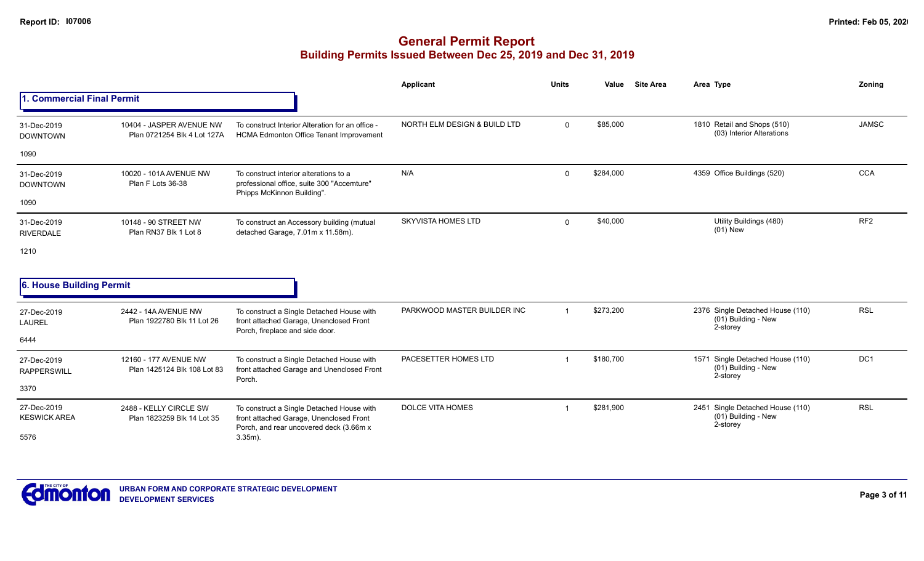|                                    |                                                         |                                                                                                                                 | <b>Applicant</b>             | <b>Units</b> | Value     | <b>Site Area</b> | Area Type                                                           | Zoning          |
|------------------------------------|---------------------------------------------------------|---------------------------------------------------------------------------------------------------------------------------------|------------------------------|--------------|-----------|------------------|---------------------------------------------------------------------|-----------------|
| 1. Commercial Final Permit         |                                                         |                                                                                                                                 |                              |              |           |                  |                                                                     |                 |
| 31-Dec-2019<br><b>DOWNTOWN</b>     | 10404 - JASPER AVENUE NW<br>Plan 0721254 Blk 4 Lot 127A | To construct Interior Alteration for an office -<br><b>HCMA Edmonton Office Tenant Improvement</b>                              | NORTH ELM DESIGN & BUILD LTD | $\mathbf{0}$ | \$85,000  |                  | 1810 Retail and Shops (510)<br>(03) Interior Alterations            | <b>JAMSC</b>    |
| 1090                               |                                                         |                                                                                                                                 |                              |              |           |                  |                                                                     |                 |
| 31-Dec-2019<br><b>DOWNTOWN</b>     | 10020 - 101A AVENUE NW<br>Plan F Lots 36-38             | To construct interior alterations to a<br>professional office, suite 300 "Accemture"<br>Phipps McKinnon Building".              | N/A                          | 0            | \$284,000 |                  | 4359 Office Buildings (520)                                         | <b>CCA</b>      |
| 1090                               |                                                         |                                                                                                                                 |                              |              |           |                  |                                                                     |                 |
| 31-Dec-2019<br><b>RIVERDALE</b>    | 10148 - 90 STREET NW<br>Plan RN37 Blk 1 Lot 8           | To construct an Accessory building (mutual<br>detached Garage, 7.01m x 11.58m).                                                 | <b>SKYVISTA HOMES LTD</b>    | $\mathbf{0}$ | \$40,000  |                  | Utility Buildings (480)<br>$(01)$ New                               | RF <sub>2</sub> |
| 1210                               |                                                         |                                                                                                                                 |                              |              |           |                  |                                                                     |                 |
| 6. House Building Permit           |                                                         |                                                                                                                                 |                              |              |           |                  |                                                                     |                 |
| 27-Dec-2019<br>LAUREL              | 2442 - 14A AVENUE NW<br>Plan 1922780 Blk 11 Lot 26      | To construct a Single Detached House with<br>front attached Garage, Unenclosed Front<br>Porch, fireplace and side door.         | PARKWOOD MASTER BUILDER INC  | $\mathbf{1}$ | \$273,200 |                  | 2376 Single Detached House (110)<br>(01) Building - New<br>2-storey | <b>RSL</b>      |
| 6444                               |                                                         |                                                                                                                                 |                              |              |           |                  |                                                                     |                 |
| 27-Dec-2019<br><b>RAPPERSWILL</b>  | 12160 - 177 AVENUE NW<br>Plan 1425124 Blk 108 Lot 83    | To construct a Single Detached House with<br>front attached Garage and Unenclosed Front<br>Porch.                               | PACESETTER HOMES LTD         | $\mathbf 1$  | \$180,700 |                  | 1571 Single Detached House (110)<br>(01) Building - New<br>2-storey | DC1             |
| 3370                               |                                                         |                                                                                                                                 |                              |              |           |                  |                                                                     |                 |
| 27-Dec-2019<br><b>KESWICK AREA</b> | 2488 - KELLY CIRCLE SW<br>Plan 1823259 Blk 14 Lot 35    | To construct a Single Detached House with<br>front attached Garage, Unenclosed Front<br>Porch, and rear uncovered deck (3.66m x | <b>DOLCE VITA HOMES</b>      |              | \$281,900 |                  | 2451 Single Detached House (110)<br>(01) Building - New<br>2-storey | <b>RSL</b>      |
| 5576                               |                                                         | $3.35m$ ).                                                                                                                      |                              |              |           |                  |                                                                     |                 |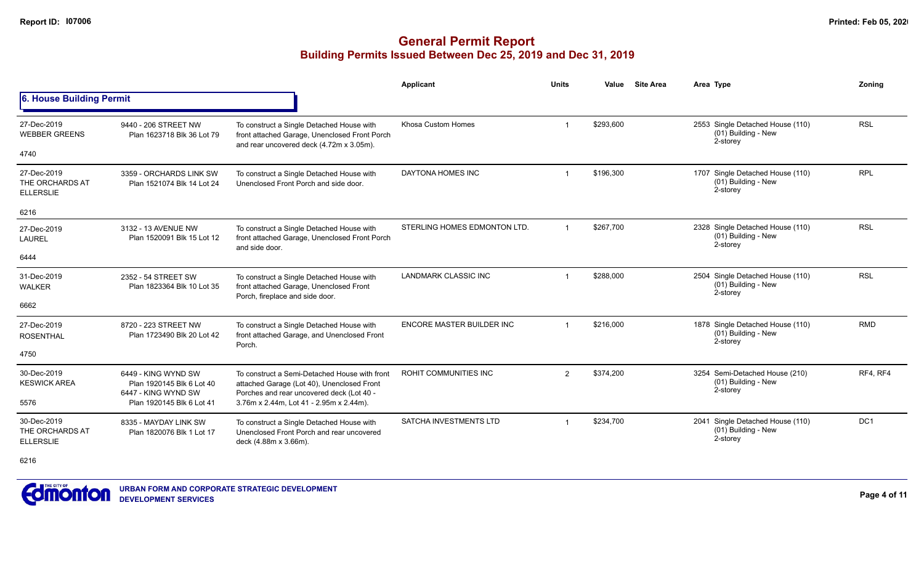# **General Permit Report Building Permits Issued Between Dec 25, 2019 and Dec 31, 2019**

|                                                    |                                                                         |                                                                                                                                          | Applicant                        | <b>Units</b>   | Value     | <b>Site Area</b> | Area Type                                                             | Zoning          |
|----------------------------------------------------|-------------------------------------------------------------------------|------------------------------------------------------------------------------------------------------------------------------------------|----------------------------------|----------------|-----------|------------------|-----------------------------------------------------------------------|-----------------|
| 6. House Building Permit                           |                                                                         |                                                                                                                                          |                                  |                |           |                  |                                                                       |                 |
| 27-Dec-2019<br><b>WEBBER GREENS</b>                | 9440 - 206 STREET NW<br>Plan 1623718 Blk 36 Lot 79                      | To construct a Single Detached House with<br>front attached Garage, Unenclosed Front Porch<br>and rear uncovered deck (4.72m x 3.05m).   | Khosa Custom Homes               |                | \$293,600 |                  | 2553 Single Detached House (110)<br>(01) Building - New<br>2-storey   | <b>RSL</b>      |
| 4740                                               |                                                                         |                                                                                                                                          |                                  |                |           |                  |                                                                       |                 |
| 27-Dec-2019<br>THE ORCHARDS AT<br><b>ELLERSLIE</b> | 3359 - ORCHARDS LINK SW<br>Plan 1521074 Blk 14 Lot 24                   | To construct a Single Detached House with<br>Unenclosed Front Porch and side door.                                                       | DAYTONA HOMES INC                |                | \$196,300 |                  | 1707 Single Detached House (110)<br>(01) Building - New<br>2-storey   | <b>RPL</b>      |
| 6216                                               |                                                                         |                                                                                                                                          |                                  |                |           |                  |                                                                       |                 |
| 27-Dec-2019<br><b>LAUREL</b>                       | 3132 - 13 AVENUE NW<br>Plan 1520091 Blk 15 Lot 12                       | To construct a Single Detached House with<br>front attached Garage, Unenclosed Front Porch<br>and side door.                             | STERLING HOMES EDMONTON LTD.     |                | \$267,700 |                  | 2328 Single Detached House (110)<br>(01) Building - New<br>2-storey   | <b>RSL</b>      |
| 6444                                               |                                                                         |                                                                                                                                          |                                  |                |           |                  |                                                                       |                 |
| 31-Dec-2019<br><b>WALKER</b>                       | 2352 - 54 STREET SW<br>Plan 1823364 Blk 10 Lot 35                       | To construct a Single Detached House with<br>front attached Garage, Unenclosed Front<br>Porch, fireplace and side door.                  | <b>LANDMARK CLASSIC INC</b>      |                | \$288,000 |                  | 2504 Single Detached House (110)<br>(01) Building - New<br>2-storey   | <b>RSL</b>      |
| 6662                                               |                                                                         |                                                                                                                                          |                                  |                |           |                  |                                                                       |                 |
| 27-Dec-2019<br><b>ROSENTHAL</b>                    | 8720 - 223 STREET NW<br>Plan 1723490 Blk 20 Lot 42                      | To construct a Single Detached House with<br>front attached Garage, and Unenclosed Front<br>Porch.                                       | <b>ENCORE MASTER BUILDER INC</b> |                | \$216,000 |                  | 1878 Single Detached House (110)<br>(01) Building - New<br>2-storey   | <b>RMD</b>      |
| 4750                                               |                                                                         |                                                                                                                                          |                                  |                |           |                  |                                                                       |                 |
| 30-Dec-2019<br><b>KESWICK AREA</b>                 | 6449 - KING WYND SW<br>Plan 1920145 Blk 6 Lot 40<br>6447 - KING WYND SW | To construct a Semi-Detached House with front<br>attached Garage (Lot 40), Unenclosed Front<br>Porches and rear uncovered deck (Lot 40 - | <b>ROHIT COMMUNITIES INC</b>     | $\overline{2}$ | \$374,200 |                  | 3254 Semi-Detached House (210)<br>(01) Building - New<br>2-storey     | RF4, RF4        |
| 5576                                               | Plan 1920145 Blk 6 Lot 41                                               | 3.76m x 2.44m, Lot 41 - 2.95m x 2.44m).                                                                                                  |                                  |                |           |                  |                                                                       |                 |
| 30-Dec-2019<br>THE ORCHARDS AT<br><b>ELLERSLIE</b> | 8335 - MAYDAY LINK SW<br>Plan 1820076 Blk 1 Lot 17                      | To construct a Single Detached House with<br>Unenclosed Front Porch and rear uncovered<br>deck (4.88m x 3.66m).                          | <b>SATCHA INVESTMENTS LTD</b>    |                | \$234,700 |                  | 2041 Single Detached House (110)<br>$(01)$ Building - New<br>2-storey | DC <sub>1</sub> |

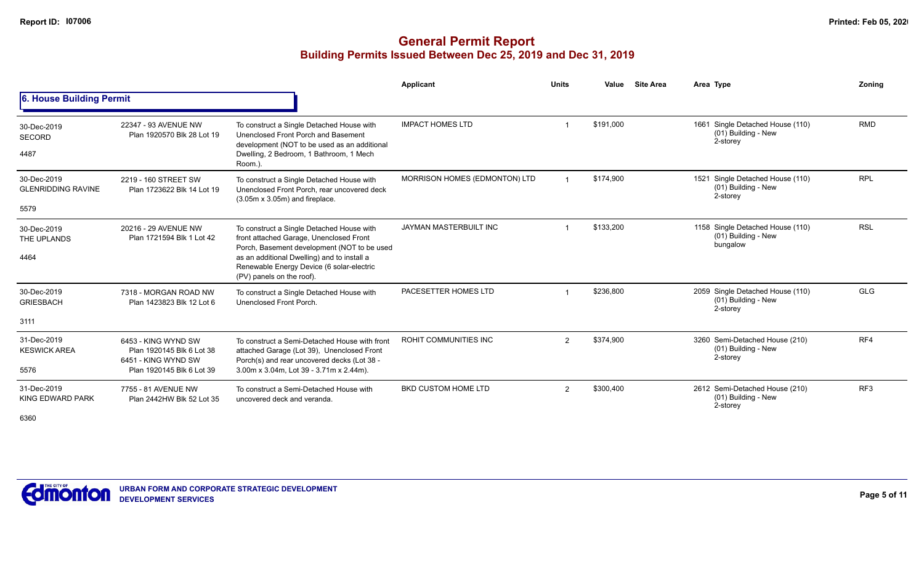## **General Permit Report Building Permits Issued Between Dec 25, 2019 and Dec 31, 2019**

|                                                  |                                                                                                      |                                                                                                                                                                                                                                                              | Applicant                     | <b>Units</b>   | Value     | <b>Site Area</b> | Area Type                                                           | Zonina          |
|--------------------------------------------------|------------------------------------------------------------------------------------------------------|--------------------------------------------------------------------------------------------------------------------------------------------------------------------------------------------------------------------------------------------------------------|-------------------------------|----------------|-----------|------------------|---------------------------------------------------------------------|-----------------|
| 6. House Building Permit                         |                                                                                                      |                                                                                                                                                                                                                                                              |                               |                |           |                  |                                                                     |                 |
| 30-Dec-2019<br><b>SECORD</b><br>4487             | 22347 - 93 AVENUE NW<br>Plan 1920570 Blk 28 Lot 19                                                   | To construct a Single Detached House with<br>Unenclosed Front Porch and Basement<br>development (NOT to be used as an additional<br>Dwelling, 2 Bedroom, 1 Bathroom, 1 Mech<br>Room.).                                                                       | <b>IMPACT HOMES LTD</b>       | 1              | \$191.000 |                  | 1661 Single Detached House (110)<br>(01) Building - New<br>2-storey | <b>RMD</b>      |
| 30-Dec-2019<br><b>GLENRIDDING RAVINE</b><br>5579 | 2219 - 160 STREET SW<br>Plan 1723622 Blk 14 Lot 19                                                   | To construct a Single Detached House with<br>Unenclosed Front Porch, rear uncovered deck<br>$(3.05m \times 3.05m)$ and fireplace.                                                                                                                            | MORRISON HOMES (EDMONTON) LTD |                | \$174,900 |                  | 1521 Single Detached House (110)<br>(01) Building - New<br>2-storey | <b>RPL</b>      |
| 30-Dec-2019<br>THE UPLANDS<br>4464               | 20216 - 29 AVENUE NW<br>Plan 1721594 Blk 1 Lot 42                                                    | To construct a Single Detached House with<br>front attached Garage, Unenclosed Front<br>Porch, Basement development (NOT to be used<br>as an additional Dwelling) and to install a<br>Renewable Energy Device (6 solar-electric<br>(PV) panels on the roof). | <b>JAYMAN MASTERBUILT INC</b> |                | \$133,200 |                  | 1158 Single Detached House (110)<br>(01) Building - New<br>bungalow | <b>RSL</b>      |
| 30-Dec-2019<br><b>GRIESBACH</b><br>3111          | 7318 - MORGAN ROAD NW<br>Plan 1423823 Blk 12 Lot 6                                                   | To construct a Single Detached House with<br>Unenclosed Front Porch.                                                                                                                                                                                         | PACESETTER HOMES LTD          |                | \$236,800 |                  | 2059 Single Detached House (110)<br>(01) Building - New<br>2-storey | <b>GLG</b>      |
| 31-Dec-2019<br><b>KESWICK AREA</b><br>5576       | 6453 - KING WYND SW<br>Plan 1920145 Blk 6 Lot 38<br>6451 - KING WYND SW<br>Plan 1920145 Blk 6 Lot 39 | To construct a Semi-Detached House with front<br>attached Garage (Lot 39), Unenclosed Front<br>Porch(s) and rear uncovered decks (Lot 38 -<br>3.00m x 3.04m, Lot 39 - 3.71m x 2.44m).                                                                        | ROHIT COMMUNITIES INC         | $\overline{2}$ | \$374,900 |                  | 3260 Semi-Detached House (210)<br>(01) Building - New<br>2-storey   | RF4             |
| 31-Dec-2019<br>KING EDWARD PARK                  | 7755 - 81 AVENUE NW<br>Plan 2442HW Blk 52 Lot 35                                                     | To construct a Semi-Detached House with<br>uncovered deck and veranda.                                                                                                                                                                                       | <b>BKD CUSTOM HOME LTD</b>    | $\overline{2}$ | \$300,400 |                  | 2612 Semi-Detached House (210)<br>(01) Building - New<br>2-storey   | RF <sub>3</sub> |

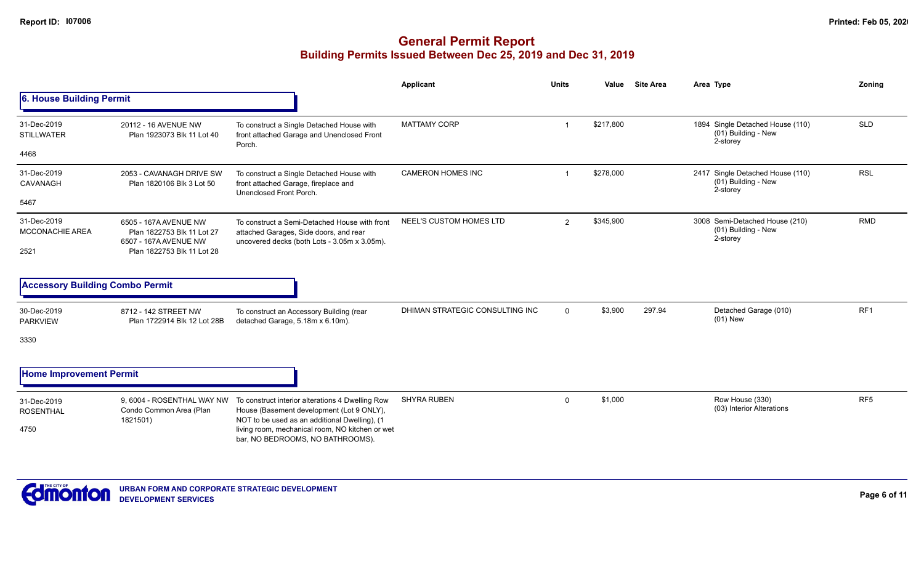|                                        |                                                                              |                                                                                                                                                | Applicant                       | <b>Units</b>   | Value     | <b>Site Area</b> | Area Type                                                           | Zonina          |
|----------------------------------------|------------------------------------------------------------------------------|------------------------------------------------------------------------------------------------------------------------------------------------|---------------------------------|----------------|-----------|------------------|---------------------------------------------------------------------|-----------------|
| 6. House Building Permit               |                                                                              |                                                                                                                                                |                                 |                |           |                  |                                                                     |                 |
| 31-Dec-2019<br><b>STILLWATER</b>       | 20112 - 16 AVENUE NW<br>Plan 1923073 Blk 11 Lot 40                           | To construct a Single Detached House with<br>front attached Garage and Unenclosed Front<br>Porch.                                              | <b>MATTAMY CORP</b>             | -1             | \$217,800 |                  | 1894 Single Detached House (110)<br>(01) Building - New<br>2-storey | <b>SLD</b>      |
| 4468                                   |                                                                              |                                                                                                                                                |                                 |                |           |                  |                                                                     |                 |
| 31-Dec-2019<br>CAVANAGH                | 2053 - CAVANAGH DRIVE SW<br>Plan 1820106 Blk 3 Lot 50                        | To construct a Single Detached House with<br>front attached Garage, fireplace and<br>Unenclosed Front Porch.                                   | <b>CAMERON HOMES INC</b>        | 1              | \$278,000 |                  | 2417 Single Detached House (110)<br>(01) Building - New<br>2-storey | <b>RSL</b>      |
| 5467                                   |                                                                              |                                                                                                                                                |                                 |                |           |                  |                                                                     |                 |
| 31-Dec-2019<br><b>MCCONACHIE AREA</b>  | 6505 - 167A AVENUE NW<br>Plan 1822753 Blk 11 Lot 27<br>6507 - 167A AVENUE NW | To construct a Semi-Detached House with front<br>attached Garages, Side doors, and rear<br>uncovered decks (both Lots - 3.05m x 3.05m).        | NEEL'S CUSTOM HOMES LTD         | $\overline{2}$ | \$345,900 |                  | 3008 Semi-Detached House (210)<br>(01) Building - New<br>2-storey   | <b>RMD</b>      |
| 2521                                   | Plan 1822753 Blk 11 Lot 28                                                   |                                                                                                                                                |                                 |                |           |                  |                                                                     |                 |
| <b>Accessory Building Combo Permit</b> |                                                                              |                                                                                                                                                |                                 |                |           |                  |                                                                     |                 |
| 30-Dec-2019<br><b>PARKVIEW</b>         | 8712 - 142 STREET NW<br>Plan 1722914 Blk 12 Lot 28B                          | To construct an Accessory Building (rear<br>detached Garage, 5.18m x 6.10m).                                                                   | DHIMAN STRATEGIC CONSULTING INC | $\mathbf 0$    | \$3,900   | 297.94           | Detached Garage (010)<br>$(01)$ New                                 | RF <sub>1</sub> |
| 3330                                   |                                                                              |                                                                                                                                                |                                 |                |           |                  |                                                                     |                 |
| <b>Home Improvement Permit</b>         |                                                                              |                                                                                                                                                |                                 |                |           |                  |                                                                     |                 |
| 31-Dec-2019<br><b>ROSENTHAL</b>        | 9, 6004 - ROSENTHAL WAY NW<br>Condo Common Area (Plan<br>1821501)            | To construct interior alterations 4 Dwelling Row<br>House (Basement development (Lot 9 ONLY),<br>NOT to be used as an additional Dwelling), (1 | <b>SHYRA RUBEN</b>              | 0              | \$1,000   |                  | Row House (330)<br>(03) Interior Alterations                        | RF <sub>5</sub> |
| 4750                                   |                                                                              | living room, mechanical room, NO kitchen or wet<br>bar, NO BEDROOMS, NO BATHROOMS).                                                            |                                 |                |           |                  |                                                                     |                 |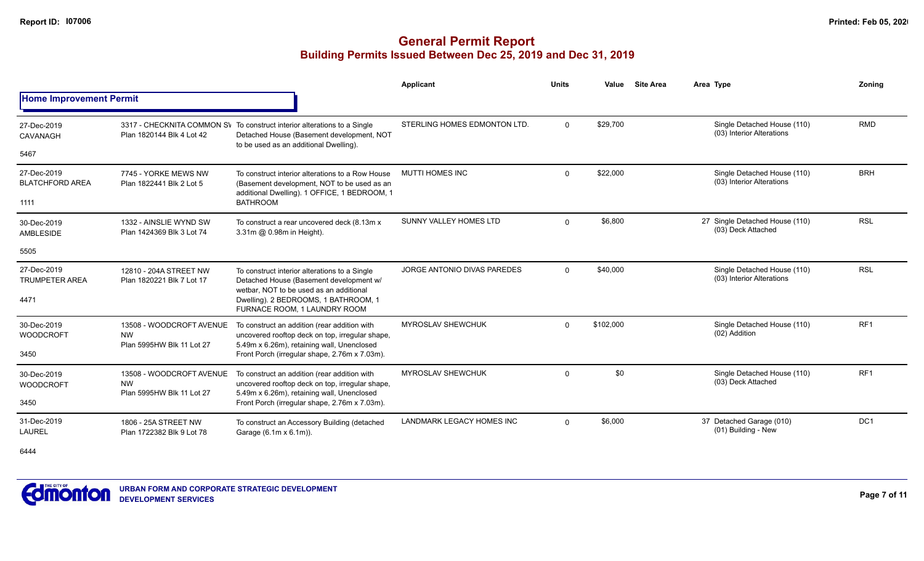# **General Permit Report Building Permits Issued Between Dec 25, 2019 and Dec 31, 2019**

|                                       |                                                     |                                                                                                                                                                 | <b>Applicant</b>                 | <b>Units</b> | Value     | <b>Site Area</b> | Area Type                                                | Zoning          |
|---------------------------------------|-----------------------------------------------------|-----------------------------------------------------------------------------------------------------------------------------------------------------------------|----------------------------------|--------------|-----------|------------------|----------------------------------------------------------|-----------------|
| <b>Home Improvement Permit</b>        |                                                     |                                                                                                                                                                 |                                  |              |           |                  |                                                          |                 |
| 27-Dec-2019<br><b>CAVANAGH</b>        | Plan 1820144 Blk 4 Lot 42                           | 3317 - CHECKNITA COMMON SV To construct interior alterations to a Single<br>Detached House (Basement development, NOT<br>to be used as an additional Dwelling). | STERLING HOMES EDMONTON LTD.     | $\Omega$     | \$29,700  |                  | Single Detached House (110)<br>(03) Interior Alterations | <b>RMD</b>      |
| 5467                                  |                                                     |                                                                                                                                                                 |                                  |              |           |                  |                                                          |                 |
| 27-Dec-2019<br><b>BLATCHFORD AREA</b> | 7745 - YORKE MEWS NW<br>Plan 1822441 Blk 2 Lot 5    | To construct interior alterations to a Row House<br>(Basement development, NOT to be used as an<br>additional Dwelling). 1 OFFICE, 1 BEDROOM, 1                 | <b>MUTTI HOMES INC</b>           | $\Omega$     | \$22,000  |                  | Single Detached House (110)<br>(03) Interior Alterations | <b>BRH</b>      |
| 1111                                  |                                                     | <b>BATHROOM</b>                                                                                                                                                 |                                  |              |           |                  |                                                          |                 |
| 30-Dec-2019<br><b>AMBLESIDE</b>       | 1332 - AINSLIE WYND SW<br>Plan 1424369 Blk 3 Lot 74 | To construct a rear uncovered deck (8.13m x<br>3.31m @ 0.98m in Height).                                                                                        | SUNNY VALLEY HOMES LTD           | $\Omega$     | \$6,800   |                  | 27 Single Detached House (110)<br>(03) Deck Attached     | <b>RSL</b>      |
| 5505                                  |                                                     |                                                                                                                                                                 |                                  |              |           |                  |                                                          |                 |
| 27-Dec-2019<br><b>TRUMPETER AREA</b>  | 12810 - 204A STREET NW<br>Plan 1820221 Blk 7 Lot 17 | To construct interior alterations to a Single<br>Detached House (Basement development w/<br>wetbar, NOT to be used as an additional                             | JORGE ANTONIO DIVAS PAREDES      | $\Omega$     | \$40,000  |                  | Single Detached House (110)<br>(03) Interior Alterations | <b>RSL</b>      |
| 4471                                  |                                                     | Dwelling). 2 BEDROOMS, 1 BATHROOM, 1<br>FURNACE ROOM. 1 LAUNDRY ROOM                                                                                            |                                  |              |           |                  |                                                          |                 |
| 30-Dec-2019<br><b>WOODCROFT</b>       | 13508 - WOODCROFT AVENUE<br><b>NW</b>               | To construct an addition (rear addition with<br>uncovered rooftop deck on top, irregular shape,                                                                 | <b>MYROSLAV SHEWCHUK</b>         | $\Omega$     | \$102,000 |                  | Single Detached House (110)<br>(02) Addition             | RF <sub>1</sub> |
| 3450                                  | Plan 5995HW Blk 11 Lot 27                           | 5.49m x 6.26m), retaining wall, Unenclosed<br>Front Porch (irregular shape, 2.76m x 7.03m).                                                                     |                                  |              |           |                  |                                                          |                 |
| 30-Dec-2019<br><b>WOODCROFT</b>       | 13508 - WOODCROFT AVENUE<br><b>NW</b>               | To construct an addition (rear addition with<br>uncovered rooftop deck on top, irregular shape,                                                                 | <b>MYROSLAV SHEWCHUK</b>         | $\Omega$     | \$0       |                  | Single Detached House (110)<br>(03) Deck Attached        | RF <sub>1</sub> |
| 3450                                  | Plan 5995HW Blk 11 Lot 27                           | 5.49m x 6.26m), retaining wall, Unenclosed<br>Front Porch (irregular shape, 2.76m x 7.03m).                                                                     |                                  |              |           |                  |                                                          |                 |
| 31-Dec-2019<br><b>LAUREL</b>          | 1806 - 25A STREET NW<br>Plan 1722382 Blk 9 Lot 78   | To construct an Accessory Building (detached<br>Garage (6.1m x 6.1m)).                                                                                          | <b>LANDMARK LEGACY HOMES INC</b> | $\Omega$     | \$6,000   |                  | 37 Detached Garage (010)<br>(01) Building - New          | DC <sub>1</sub> |
|                                       |                                                     |                                                                                                                                                                 |                                  |              |           |                  |                                                          |                 |

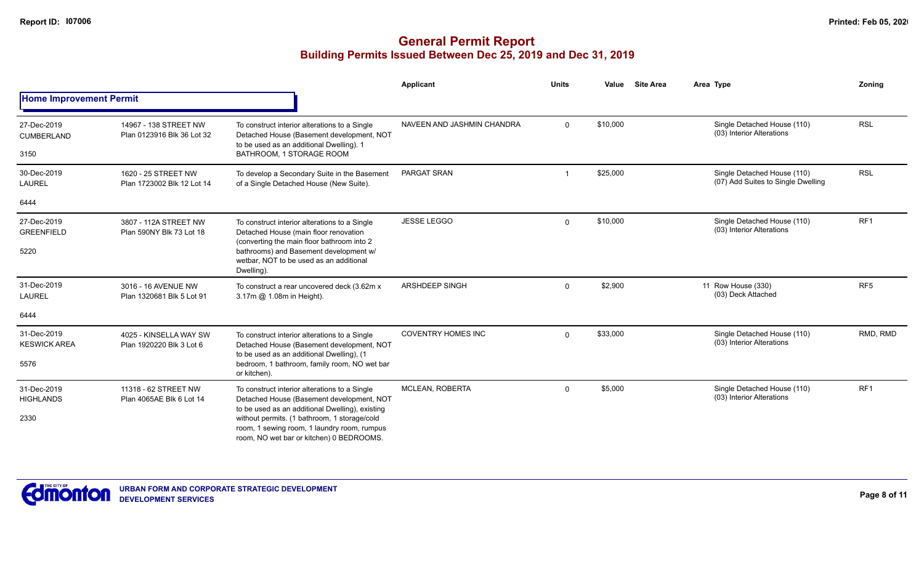|                                    |                                                     |                                                                                                                                               | Applicant                  | <b>Units</b> | Value    | <b>Site Area</b> | Area Type                                                         | Zoning          |
|------------------------------------|-----------------------------------------------------|-----------------------------------------------------------------------------------------------------------------------------------------------|----------------------------|--------------|----------|------------------|-------------------------------------------------------------------|-----------------|
| <b>Home Improvement Permit</b>     |                                                     |                                                                                                                                               |                            |              |          |                  |                                                                   |                 |
| 27-Dec-2019<br>CUMBERLAND          | 14967 - 138 STREET NW<br>Plan 0123916 Blk 36 Lot 32 | To construct interior alterations to a Single<br>Detached House (Basement development, NOT<br>to be used as an additional Dwelling). 1        | NAVEEN AND JASHMIN CHANDRA | $\Omega$     | \$10,000 |                  | Single Detached House (110)<br>(03) Interior Alterations          | <b>RSL</b>      |
| 3150                               |                                                     | BATHROOM, 1 STORAGE ROOM                                                                                                                      |                            |              |          |                  |                                                                   |                 |
| 30-Dec-2019<br><b>LAUREL</b>       | 1620 - 25 STREET NW<br>Plan 1723002 Blk 12 Lot 14   | To develop a Secondary Suite in the Basement<br>of a Single Detached House (New Suite).                                                       | PARGAT SRAN                |              | \$25,000 |                  | Single Detached House (110)<br>(07) Add Suites to Single Dwelling | <b>RSL</b>      |
| 6444                               |                                                     |                                                                                                                                               |                            |              |          |                  |                                                                   |                 |
| 27-Dec-2019<br><b>GREENFIELD</b>   | 3807 - 112A STREET NW<br>Plan 590NY Blk 73 Lot 18   | To construct interior alterations to a Single<br>Detached House (main floor renovation<br>(converting the main floor bathroom into 2          | <b>JESSE LEGGO</b>         | $\Omega$     | \$10,000 |                  | Single Detached House (110)<br>(03) Interior Alterations          | RF <sub>1</sub> |
| 5220                               |                                                     | bathrooms) and Basement development w/<br>wetbar. NOT to be used as an additional<br>Dwelling).                                               |                            |              |          |                  |                                                                   |                 |
| 31-Dec-2019<br><b>LAUREL</b>       | 3016 - 16 AVENUE NW<br>Plan 1320681 Blk 5 Lot 91    | To construct a rear uncovered deck (3.62m x)<br>3.17m @ 1.08m in Height).                                                                     | <b>ARSHDEEP SINGH</b>      | $\Omega$     | \$2,900  |                  | 11 Row House (330)<br>(03) Deck Attached                          | RF <sub>5</sub> |
| 6444                               |                                                     |                                                                                                                                               |                            |              |          |                  |                                                                   |                 |
| 31-Dec-2019<br><b>KESWICK AREA</b> | 4025 - KINSELLA WAY SW<br>Plan 1920220 Blk 3 Lot 6  | To construct interior alterations to a Single<br>Detached House (Basement development, NOT<br>to be used as an additional Dwelling), (1       | <b>COVENTRY HOMES INC</b>  | $\Omega$     | \$33,000 |                  | Single Detached House (110)<br>(03) Interior Alterations          | RMD, RMD        |
| 5576                               |                                                     | bedroom, 1 bathroom, family room, NO wet bar<br>or kitchen).                                                                                  |                            |              |          |                  |                                                                   |                 |
| 31-Dec-2019<br><b>HIGHLANDS</b>    | 11318 - 62 STREET NW<br>Plan 4065AE Blk 6 Lot 14    | To construct interior alterations to a Single<br>Detached House (Basement development, NOT<br>to be used as an additional Dwelling), existing | <b>MCLEAN, ROBERTA</b>     | $\Omega$     | \$5,000  |                  | Single Detached House (110)<br>(03) Interior Alterations          | RF1             |
| 2330                               |                                                     | without permits. (1 bathroom, 1 storage/cold<br>room, 1 sewing room, 1 laundry room, rumpus<br>room, NO wet bar or kitchen) 0 BEDROOMS.       |                            |              |          |                  |                                                                   |                 |

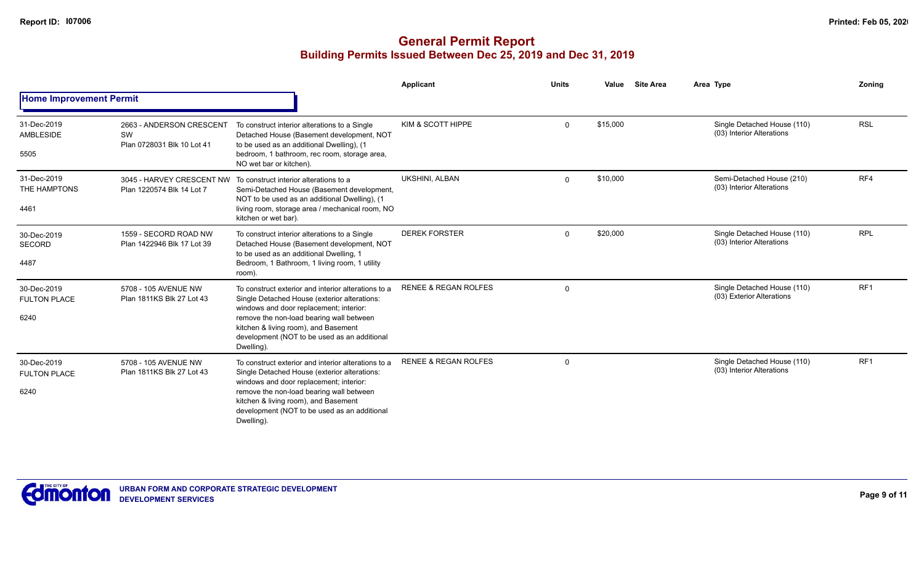|                                            |                                                              |                                                                                                                                                                                                                                                                                                  | Applicant                       | <b>Units</b> | Value    | <b>Site Area</b> | Area Type                                                | Zoning          |
|--------------------------------------------|--------------------------------------------------------------|--------------------------------------------------------------------------------------------------------------------------------------------------------------------------------------------------------------------------------------------------------------------------------------------------|---------------------------------|--------------|----------|------------------|----------------------------------------------------------|-----------------|
| <b>Home Improvement Permit</b>             |                                                              |                                                                                                                                                                                                                                                                                                  |                                 |              |          |                  |                                                          |                 |
| 31-Dec-2019<br>AMBLESIDE<br>5505           | 2663 - ANDERSON CRESCENT<br>SW<br>Plan 0728031 Blk 10 Lot 41 | To construct interior alterations to a Single<br>Detached House (Basement development, NOT<br>to be used as an additional Dwelling), (1<br>bedroom, 1 bathroom, rec room, storage area,<br>NO wet bar or kitchen).                                                                               | KIM & SCOTT HIPPE               | $\mathbf 0$  | \$15,000 |                  | Single Detached House (110)<br>(03) Interior Alterations | <b>RSL</b>      |
| 31-Dec-2019<br>THE HAMPTONS<br>4461        | 3045 - HARVEY CRESCENT NW<br>Plan 1220574 Blk 14 Lot 7       | To construct interior alterations to a<br>Semi-Detached House (Basement development,<br>NOT to be used as an additional Dwelling), (1<br>living room, storage area / mechanical room, NO<br>kitchen or wet bar).                                                                                 | UKSHINI, ALBAN                  | $\Omega$     | \$10,000 |                  | Semi-Detached House (210)<br>(03) Interior Alterations   | RF4             |
| 30-Dec-2019<br><b>SECORD</b><br>4487       | 1559 - SECORD ROAD NW<br>Plan 1422946 Blk 17 Lot 39          | To construct interior alterations to a Single<br>Detached House (Basement development, NOT<br>to be used as an additional Dwelling, 1<br>Bedroom, 1 Bathroom, 1 living room, 1 utility<br>room).                                                                                                 | <b>DEREK FORSTER</b>            | $\Omega$     | \$20,000 |                  | Single Detached House (110)<br>(03) Interior Alterations | <b>RPL</b>      |
| 30-Dec-2019<br><b>FULTON PLACE</b><br>6240 | 5708 - 105 AVENUE NW<br>Plan 1811KS Blk 27 Lot 43            | To construct exterior and interior alterations to a<br>Single Detached House (exterior alterations:<br>windows and door replacement; interior:<br>remove the non-load bearing wall between<br>kitchen & living room), and Basement<br>development (NOT to be used as an additional<br>Dwelling). | <b>RENEE &amp; REGAN ROLFES</b> | $\Omega$     |          |                  | Single Detached House (110)<br>(03) Exterior Alterations | RF <sub>1</sub> |
| 30-Dec-2019<br><b>FULTON PLACE</b><br>6240 | 5708 - 105 AVENUE NW<br>Plan 1811KS Blk 27 Lot 43            | To construct exterior and interior alterations to a<br>Single Detached House (exterior alterations:<br>windows and door replacement; interior:<br>remove the non-load bearing wall between<br>kitchen & living room), and Basement<br>development (NOT to be used as an additional<br>Dwelling). | <b>RENEE &amp; REGAN ROLFES</b> | $\Omega$     |          |                  | Single Detached House (110)<br>(03) Interior Alterations | RF <sub>1</sub> |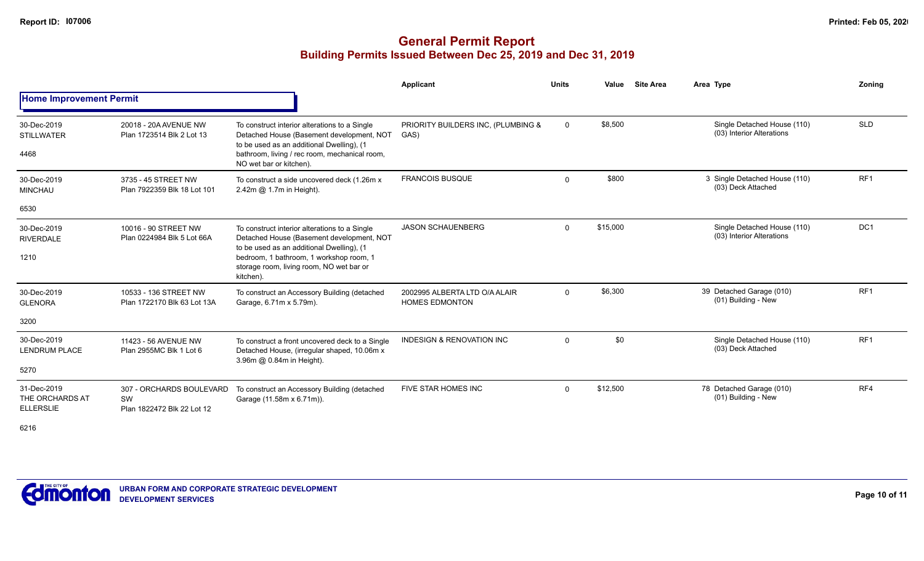## **General Permit Report Building Permits Issued Between Dec 25, 2019 and Dec 31, 2019**

|                                                    |                                                              |                                                                                                                                                                                                                                             | <b>Applicant</b>                                       | <b>Units</b> | Value    | <b>Site Area</b> | Area Type                                                | Zoning          |
|----------------------------------------------------|--------------------------------------------------------------|---------------------------------------------------------------------------------------------------------------------------------------------------------------------------------------------------------------------------------------------|--------------------------------------------------------|--------------|----------|------------------|----------------------------------------------------------|-----------------|
| <b>Home Improvement Permit</b>                     |                                                              |                                                                                                                                                                                                                                             |                                                        |              |          |                  |                                                          |                 |
| 30-Dec-2019<br><b>STILLWATER</b><br>4468           | 20018 - 20A AVENUE NW<br>Plan 1723514 Blk 2 Lot 13           | To construct interior alterations to a Single<br>Detached House (Basement development, NOT<br>to be used as an additional Dwelling), (1<br>bathroom, living / rec room, mechanical room,                                                    | PRIORITY BUILDERS INC, (PLUMBING &<br>GAS)             | $\mathbf 0$  | \$8,500  |                  | Single Detached House (110)<br>(03) Interior Alterations | <b>SLD</b>      |
| 30-Dec-2019<br><b>MINCHAU</b>                      | 3735 - 45 STREET NW<br>Plan 7922359 Blk 18 Lot 101           | NO wet bar or kitchen).<br>To construct a side uncovered deck (1.26m x<br>$2.42m$ $@$ 1.7m in Height).                                                                                                                                      | <b>FRANCOIS BUSQUE</b>                                 | $\Omega$     | \$800    |                  | 3 Single Detached House (110)<br>(03) Deck Attached      | RF <sub>1</sub> |
| 6530                                               |                                                              |                                                                                                                                                                                                                                             |                                                        |              |          |                  |                                                          |                 |
| 30-Dec-2019<br><b>RIVERDALE</b><br>1210            | 10016 - 90 STREET NW<br>Plan 0224984 Blk 5 Lot 66A           | To construct interior alterations to a Single<br>Detached House (Basement development, NOT<br>to be used as an additional Dwelling), (1<br>bedroom, 1 bathroom, 1 workshop room, 1<br>storage room, living room, NO wet bar or<br>kitchen). | <b>JASON SCHAUENBERG</b>                               | $\Omega$     | \$15,000 |                  | Single Detached House (110)<br>(03) Interior Alterations | DC <sub>1</sub> |
| 30-Dec-2019<br><b>GLENORA</b>                      | 10533 - 136 STREET NW<br>Plan 1722170 Blk 63 Lot 13A         | To construct an Accessory Building (detached<br>Garage, 6.71m x 5.79m).                                                                                                                                                                     | 2002995 ALBERTA LTD O/A ALAIR<br><b>HOMES EDMONTON</b> | $\mathbf 0$  | \$6,300  |                  | 39 Detached Garage (010)<br>(01) Building - New          | RF <sub>1</sub> |
| 3200                                               |                                                              |                                                                                                                                                                                                                                             |                                                        |              |          |                  |                                                          |                 |
| 30-Dec-2019<br><b>LENDRUM PLACE</b>                | 11423 - 56 AVENUE NW<br>Plan 2955MC Blk 1 Lot 6              | To construct a front uncovered deck to a Single<br>Detached House, (irregular shaped, 10.06m x<br>3.96m @ 0.84m in Height).                                                                                                                 | <b>INDESIGN &amp; RENOVATION INC</b>                   | $\Omega$     | \$0      |                  | Single Detached House (110)<br>(03) Deck Attached        | RF <sub>1</sub> |
| 5270                                               |                                                              |                                                                                                                                                                                                                                             |                                                        |              |          |                  |                                                          |                 |
| 31-Dec-2019<br>THE ORCHARDS AT<br><b>ELLERSLIE</b> | 307 - ORCHARDS BOULEVARD<br>SW<br>Plan 1822472 Blk 22 Lot 12 | To construct an Accessory Building (detached<br>Garage (11.58m x 6.71m)).                                                                                                                                                                   | FIVE STAR HOMES INC                                    | $\Omega$     | \$12,500 |                  | 78 Detached Garage (010)<br>(01) Building - New          | RF4             |